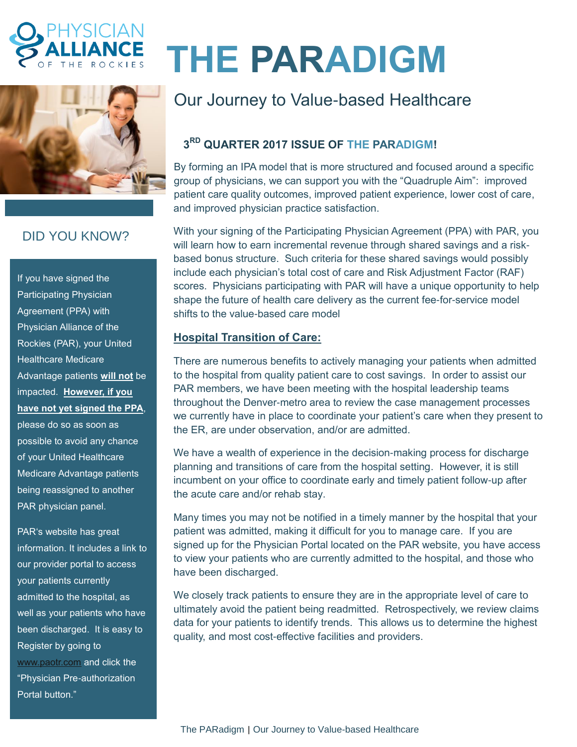



# DID YOU KNOW?

If you have signed the Participating Physician Agreement (PPA) with Physician Alliance of the Rockies (PAR), your United Healthcare Medicare Advantage patients **will not** be impacted. **However, if you have not yet signed the PPA**,

please do so as soon as possible to avoid any chance of your United Healthcare Medicare Advantage patients being reassigned to another PAR physician panel.

PAR's website has great information. It includes a link to our provider portal to access your patients currently admitted to the hospital, as well as your patients who have been discharged. It is easy to Register by going to [www.paotr.com](http://www.paotr.com/) and click the "Physician Pre-authorization Portal button."

# **THE PARADIGM**

# Our Journey to Value-based Healthcare

## **3 RD QUARTER 2017 ISSUE OF THE PARADIGM!**

By forming an IPA model that is more structured and focused around a specific group of physicians, we can support you with the "Quadruple Aim": improved patient care quality outcomes, improved patient experience, lower cost of care, and improved physician practice satisfaction.

With your signing of the Participating Physician Agreement (PPA) with PAR, you will learn how to earn incremental revenue through shared savings and a riskbased bonus structure. Such criteria for these shared savings would possibly include each physician's total cost of care and Risk Adjustment Factor (RAF) scores. Physicians participating with PAR will have a unique opportunity to help shape the future of health care delivery as the current fee-for-service model shifts to the value-based care model

### **Hospital Transition of Care:**

There are numerous benefits to actively managing your patients when admitted to the hospital from quality patient care to cost savings. In order to assist our PAR members, we have been meeting with the hospital leadership teams throughout the Denver-metro area to review the case management processes we currently have in place to coordinate your patient's care when they present to the ER, are under observation, and/or are admitted.

We have a wealth of experience in the decision-making process for discharge planning and transitions of care from the hospital setting. However, it is still incumbent on your office to coordinate early and timely patient follow-up after the acute care and/or rehab stay.

Many times you may not be notified in a timely manner by the hospital that your patient was admitted, making it difficult for you to manage care. If you are signed up for the Physician Portal located on the PAR website, you have access to view your patients who are currently admitted to the hospital, and those who have been discharged.

We closely track patients to ensure they are in the appropriate level of care to ultimately avoid the patient being readmitted. Retrospectively, we review claims data for your patients to identify trends. This allows us to determine the highest quality, and most cost-effective facilities and providers.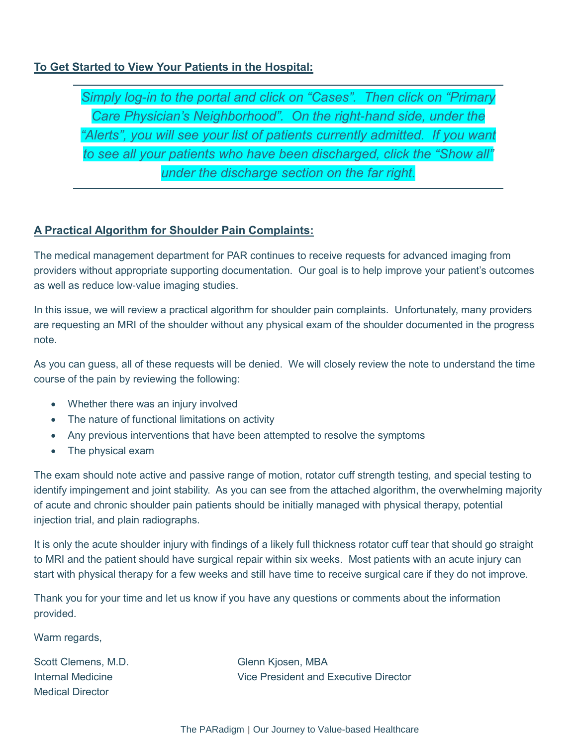#### **To Get Started to View Your Patients in the Hospital:**

*Simply log-in to the portal and click on "Cases". Then click on "Primary Care Physician's Neighborhood". On the right-hand side, under the "Alerts", you will see your list of patients currently admitted. If you want to see all your patients who have been discharged, click the "Show all" under the discharge section on the far right.*

#### **A Practical Algorithm for Shoulder Pain Complaints:**

The medical management department for PAR continues to receive requests for advanced imaging from providers without appropriate supporting documentation. Our goal is to help improve your patient's outcomes as well as reduce low-value imaging studies.

In this issue, we will review a practical algorithm for shoulder pain complaints. Unfortunately, many providers are requesting an MRI of the shoulder without any physical exam of the shoulder documented in the progress note.

As you can guess, all of these requests will be denied. We will closely review the note to understand the time course of the pain by reviewing the following:

- Whether there was an injury involved
- The nature of functional limitations on activity
- Any previous interventions that have been attempted to resolve the symptoms
- The physical exam

The exam should note active and passive range of motion, rotator cuff strength testing, and special testing to identify impingement and joint stability. As you can see from the attached algorithm, the overwhelming majority of acute and chronic shoulder pain patients should be initially managed with physical therapy, potential injection trial, and plain radiographs.

It is only the acute shoulder injury with findings of a likely full thickness rotator cuff tear that should go straight to MRI and the patient should have surgical repair within six weeks. Most patients with an acute injury can start with physical therapy for a few weeks and still have time to receive surgical care if they do not improve.

Thank you for your time and let us know if you have any questions or comments about the information provided.

Warm regards,

Scott Clemens, M.D. Glenn Kjosen, MBA Medical Director

Internal Medicine Vice President and Executive Director